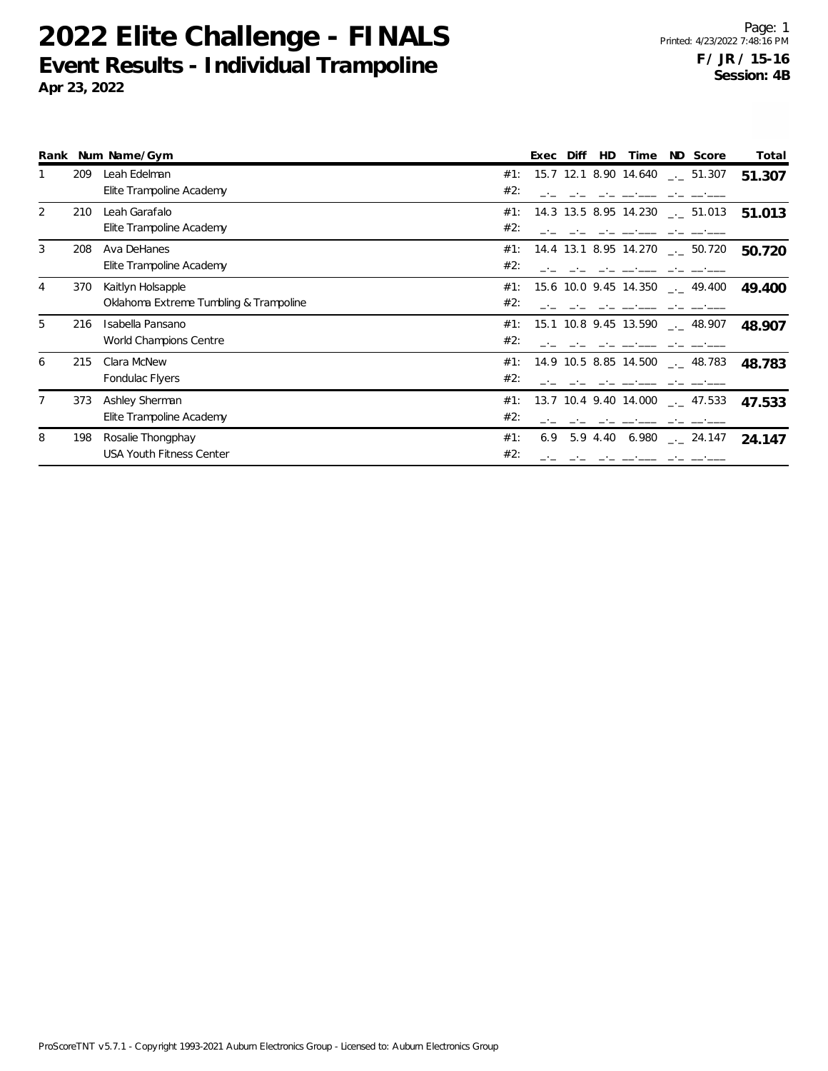|   |     | Rank Num Name/Gym                      | ND Score<br>Diff<br>Total<br><b>HD</b><br>Time<br>Exec        |
|---|-----|----------------------------------------|---------------------------------------------------------------|
|   | 209 | Leah Edelman                           | 15.7 12.1 8.90 14.640<br>#1:<br>$\sim$ 51.307<br>51.307       |
|   |     | Elite Trampoline Academy               | #2:                                                           |
| 2 | 210 | Leah Garafalo                          | #1:<br>14.3 13.5 8.95 14.230<br>$\sim$ 51.013<br>51.013       |
|   |     | Elite Trampoline Academy               | #2:                                                           |
| 3 | 208 | Ava DeHanes                            | 14.4 13.1 8.95 14.270<br>#1:<br>$\sim$ 50.720<br>50.720       |
|   |     | Elite Trampoline Academy               | #2:                                                           |
| 4 | 370 | Kaitlyn Holsapple                      | #1:<br>15.6 10.0 9.45 14.350<br>$\sim$ 49.400<br>49.400       |
|   |     | Oklahoma Extreme Tumbling & Trampoline | #2:                                                           |
| 5 | 216 | Isabella Pansano                       | 15.1 10.8 9.45 13.590<br>#1:<br>$\sim$ 48.907<br>48.907       |
|   |     | World Champions Centre                 | #2:                                                           |
| 6 | 215 | Clara McNew                            | 14.9 10.5 8.85 14.500<br>#1:<br>$-$ 48.783<br>48.783          |
|   |     | Fondulac Flyers                        | #2:                                                           |
|   | 373 | Ashley Sherman                         | 13.7 10.4 9.40 14.000<br>#1:<br>$\sim$ 47.533<br>47.533       |
|   |     | Elite Trampoline Academy               | #2:                                                           |
| 8 | 198 | Rosalie Thongphay                      | #1:<br>5.9 4.40 6.980 $_{\leftarrow}$ 24.147<br>6.9<br>24.147 |
|   |     | <b>USA Youth Fitness Center</b>        | #2:                                                           |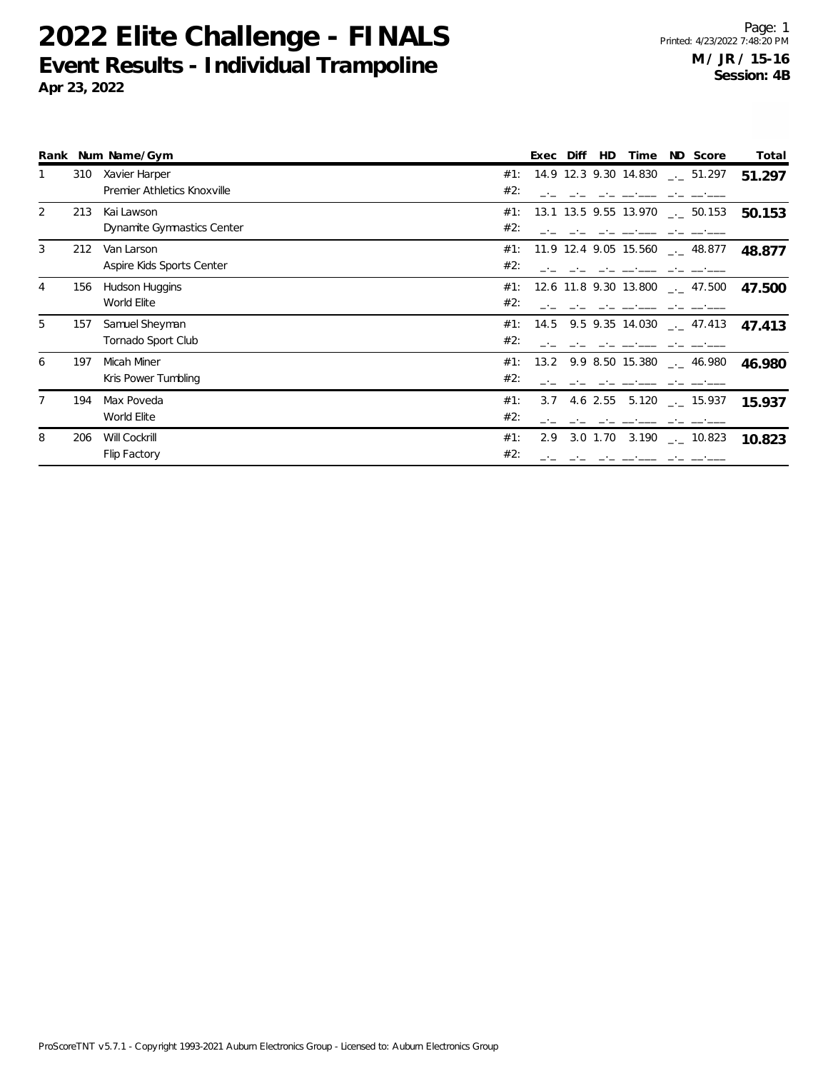|                |     | Rank Num Name/Gym                            | ND Score<br>Diff<br>HD<br>Exec<br>Time                      | Total  |
|----------------|-----|----------------------------------------------|-------------------------------------------------------------|--------|
| 1              | 310 | Xavier Harper<br>Premier Athletics Knoxville | 14.9 12.3 9.30 14.830<br>#1:<br>$\frac{1}{2}$ 51.297<br>#2: | 51.297 |
| $\overline{2}$ | 213 | Kai Lawson<br>Dynamite Gymnastics Center     | 13.1 13.5 9.55 13.970<br>#1:<br>$\sim$ 50.153<br>#2:        | 50.153 |
| 3              | 212 | Van Larson<br>Aspire Kids Sports Center      | 11.9 12.4 9.05 15.560<br>#1:<br>$_{-.}$ 48.877<br>#2:       | 48.877 |
| 4              | 156 | Hudson Huggins<br>World Elite                | #1:<br>12.6 11.8 9.30 13.800<br>$\sim$ 47.500<br>#2:        | 47.500 |
| 5              | 157 | Samuel Sheyman<br>Tornado Sport Club         | 9.5 9.35 14.030<br>#1:<br>14.5<br>$\sim$ 47.413<br>#2:      | 47.413 |
| 6              | 197 | Micah Miner<br>Kris Power Tumbling           | #1:<br>13.2 9.9 8.50 15.380<br>$-$ 46.980<br>#2:            | 46.980 |
| 7              | 194 | Max Poveda<br>World Elite                    | 4.6 2.55 5.120 $\frac{1}{2}$ 15.937<br>#1:<br>3.7<br>#2:    | 15.937 |
| 8              | 206 | Will Cockrill<br>Flip Factory                | 3.0 1.70 3.190 $\frac{1}{2}$ 10.823<br>#1:<br>2.9<br>#2:    | 10.823 |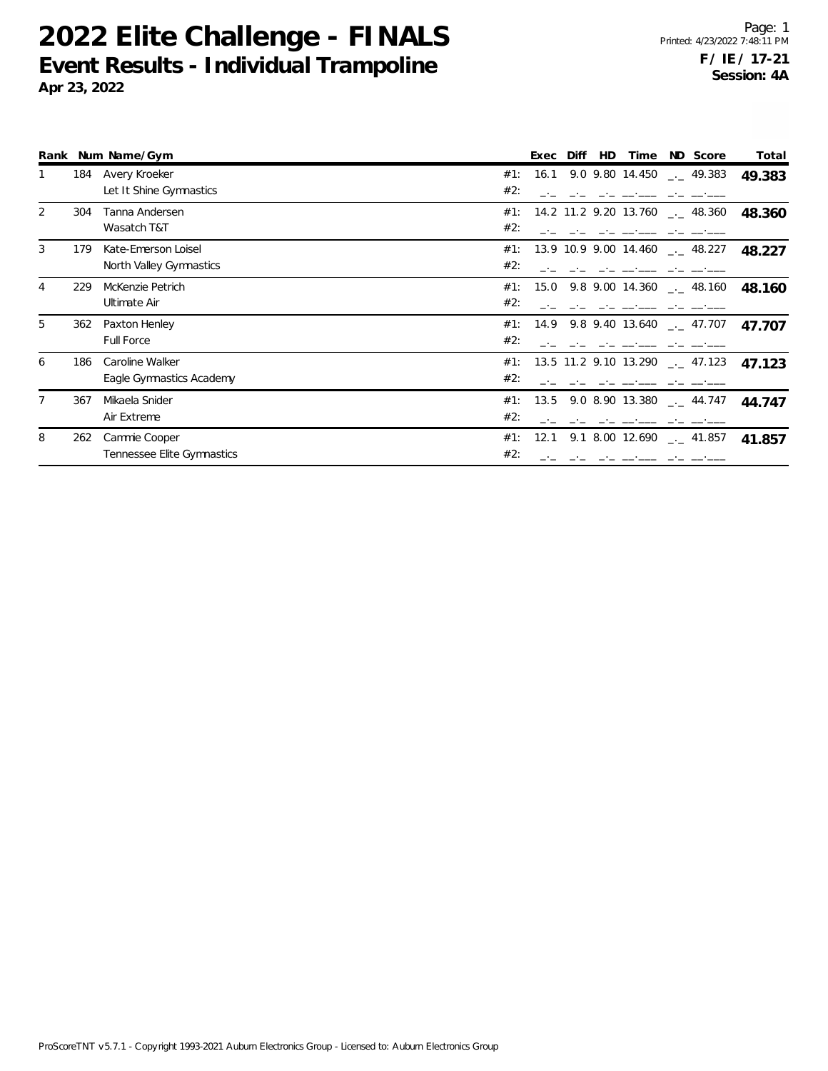|                |     | Rank Num Name/Gym          | ND Score<br>Diff<br>HD.<br>Time<br>Total<br>Exec                            |
|----------------|-----|----------------------------|-----------------------------------------------------------------------------|
|                | 184 | Avery Kroeker              | 16.1 9.0 9.80 14.450 $-$ 49.383<br>#1:<br>49.383                            |
|                |     | Let It Shine Gymnastics    | #2:                                                                         |
| 2              | 304 | Tanna Andersen             | 14.2 11.2 9.20 13.760<br>#1:<br>$-$ 48.360<br>48.360                        |
|                |     | Wasatch T&T                | #2:                                                                         |
| 3              | 179 | Kate-Emerson Loisel        | 13.9 10.9 9.00 14.460 $\text{---}$ 48.227<br>#1:<br>48.227                  |
|                |     | North Valley Gymnastics    | #2:                                                                         |
| $\overline{4}$ | 229 | McKenzie Petrich           | #1:<br>9.8 9.00 14.360 $\qquad$ 48.160<br>15.0<br>48.160                    |
|                |     | Ultimate Air               | #2:                                                                         |
| 5              | 362 | Paxton Henley              | 14.9 9.8 9.40 13.640<br>#1:<br>$-$ 47.707<br>47.707                         |
|                |     | Full Force                 | #2:                                                                         |
| 6              | 186 | Caroline Walker            | 13.5 11.2 9.10 13.290 $\frac{1}{2}$ 47.123<br>#1:<br>47.123                 |
|                |     | Eagle Gymnastics Academy   | #2:                                                                         |
| 7              | 367 | Mikaela Snider             | 9.0 8.90 13.380<br>#1:<br>13.5<br>$-$ 44.747<br>44.747                      |
|                |     | Air Extreme                | #2:                                                                         |
| 8              | 262 | Cammie Cooper              | 9.1 8.00 12.690 $\phantom{0}$ $\phantom{0}$ 41.857<br>#1:<br>12.1<br>41.857 |
|                |     | Tennessee Elite Gymnastics | #2:                                                                         |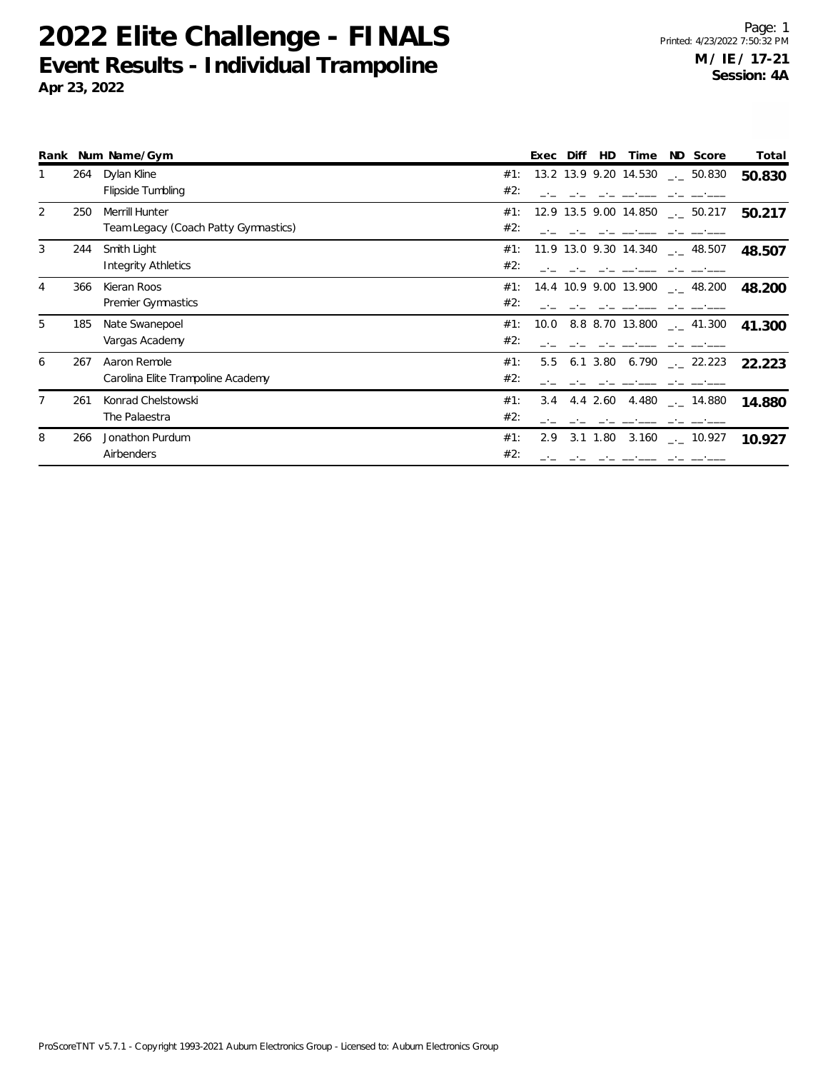|                |     | Rank Num Name/Gym                    | ND Score<br>Total<br>Diff<br><b>HD</b><br>Exec<br>Time         |
|----------------|-----|--------------------------------------|----------------------------------------------------------------|
|                | 264 | Dylan Kline                          | 13.2 13.9 9.20 14.530<br>#1:<br>$\sim$ 50.830<br>50.830        |
|                |     | Flipside Tumbling                    | #2:                                                            |
| $\overline{2}$ | 250 | Merrill Hunter                       | #1:<br>12.9 13.5 9.00 14.850<br>$\frac{1}{2}$ 50.217<br>50.217 |
|                |     | Team Legacy (Coach Patty Gymnastics) | #2:                                                            |
| 3              | 244 | Smith Light                          | 11.9 13.0 9.30 14.340<br>#1:<br>$\sim$ 48.507<br>48.507        |
|                |     | <b>Integrity Athletics</b>           | #2:                                                            |
| $\overline{4}$ | 366 | Kieran Roos                          | #1:<br>14.4 10.9 9.00 13.900<br>$-2$ 48.200<br>48.200          |
|                |     | <b>Premier Gymnastics</b>            | #2:                                                            |
| 5              | 185 | Nate Swanepoel                       | 8.8 8.70 13.800<br>#1:<br>10.0<br>$\sim$ 41.300<br>41.300      |
|                |     | Vargas Academy                       | #2:                                                            |
| 6              | 267 | Aaron Remole                         | #1:<br>5.5<br>$6.1 \, 3.80$<br>6.790<br>$-22.223$<br>22.223    |
|                |     | Carolina Elite Trampoline Academy    | #2:                                                            |
| 7              | 261 | Konrad Chelstowski                   | 3.4 4.4 2.60 4.480<br>#1:<br>$_{\rm --}$ 14.880<br>14.880      |
|                |     | The Palaestra                        | #2:                                                            |
| 8              | 266 | Jonathon Purdum                      | #1:<br>3.1 1.80<br>3.160 $\qquad$ - 10.927<br>2.9<br>10.927    |
|                |     | Airbenders                           | #2:                                                            |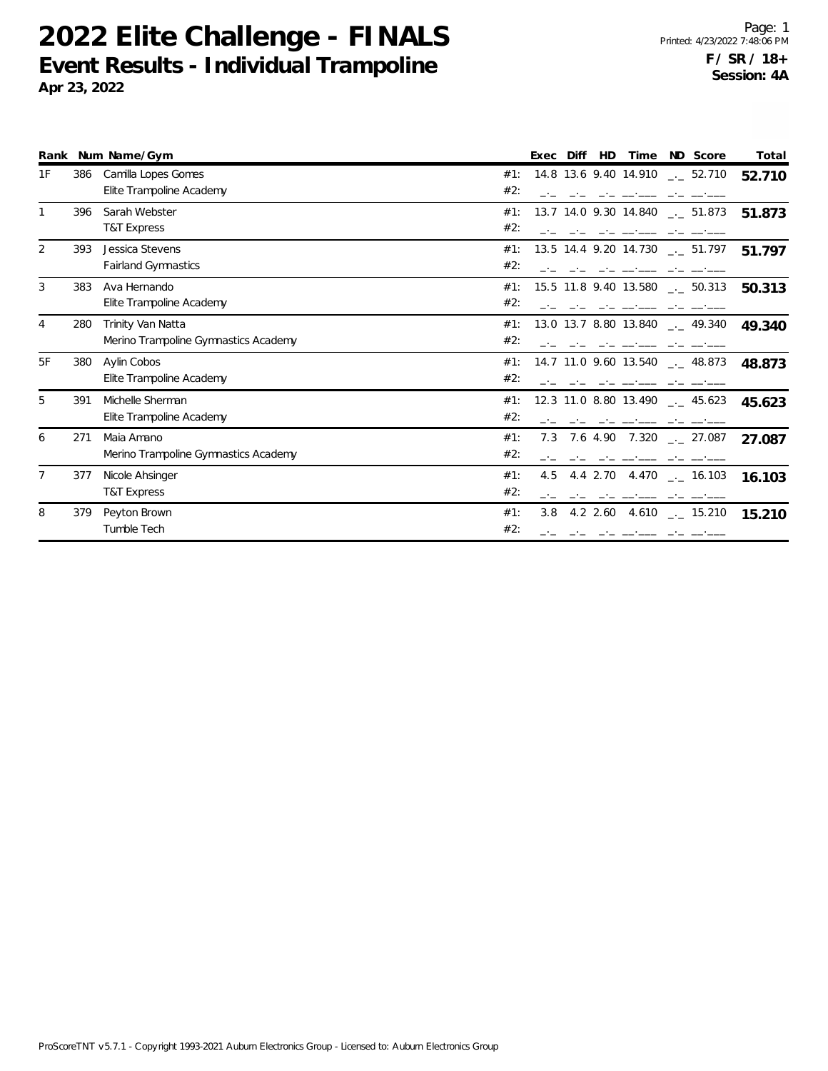|                |     | Rank Num Name/Gym                                         |            | Exec | Diff | HD       | Time                  | ND Score                                     | Total  |
|----------------|-----|-----------------------------------------------------------|------------|------|------|----------|-----------------------|----------------------------------------------|--------|
| 1F             | 386 | Camilla Lopes Gomes<br>Elite Trampoline Academy           | #1:<br>#2: |      |      |          |                       | 14.8 13.6 9.40 14.910 $\frac{1}{2}$ 52.710   | 52.710 |
| 1              | 396 | Sarah Webster<br><b>T&amp;T Express</b>                   | #1:<br>#2: |      |      |          | 13.7 14.0 9.30 14.840 | $\frac{1}{2}$ 51.873                         | 51.873 |
| 2              | 393 | Jessica Stevens<br><b>Fairland Gymnastics</b>             | #1:<br>#2: |      |      |          |                       | 13.5 14.4 9.20 14.730 __ 51.797              | 51.797 |
| 3              | 383 | Ava Hernando<br>Elite Trampoline Academy                  | #1:<br>#2: |      |      |          | 15.5 11.8 9.40 13.580 | $\sim$ 50.313                                | 50.313 |
| 4              | 280 | Trinity Van Natta<br>Merino Trampoline Gymnastics Academy | #1:<br>#2: |      |      |          |                       | 13.0 13.7 8.80 13.840 __ 49.340              | 49.340 |
| 5F             | 380 | Aylin Cobos<br>Elite Trampoline Academy                   | #1:<br>#2: |      |      |          |                       | 14.7 11.0 9.60 13.540 $_{\leftarrow}$ 48.873 | 48.873 |
| 5              | 391 | Michelle Sherman<br>Elite Trampoline Academy              | #1:<br>#2: |      |      |          | 12.3 11.0 8.80 13.490 | $\frac{1}{2}$ 45.623                         | 45.623 |
| 6              | 271 | Maia Amano<br>Merino Trampoline Gymnastics Academy        | #1:<br>#2: | 7.3  |      |          |                       | 7.6 4.90 7.320 $\_\_$ 27.087                 | 27.087 |
| $\overline{7}$ | 377 | Nicole Ahsinger<br>T&T Express                            | #1:<br>#2: | 4.5  |      | 4.4 2.70 |                       | 4.470 $-$ 16.103                             | 16.103 |
| 8              | 379 | Peyton Brown<br>Tumble Tech                               | #1:<br>#2: | 3.8  |      |          |                       | 4.2 2.60 4.610 $\frac{1}{2}$ 15.210          | 15.210 |